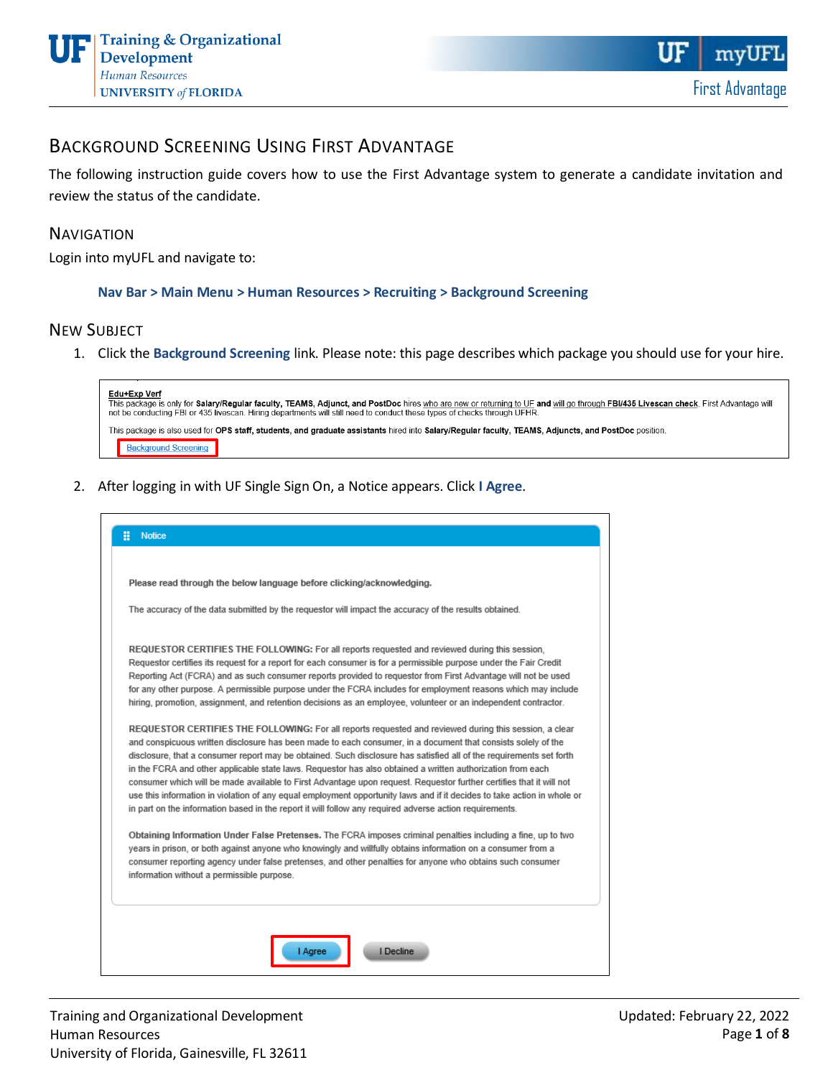## BACKGROUND SCREENING USING FIRST ADVANTAGE

The following instruction guide covers how to use the First Advantage system to generate a candidate invitation and review the status of the candidate.

#### **NAVIGATION**

Login into myUFL and navigate to:

#### **Nav Bar > Main Menu > Human Resources > Recruiting > Background Screening**

#### NEW SUBJECT

1. Click the **Background Screening** link. Please note: this page describes which package you should use for your hire.

| Edu+Exp Verf<br>This package is only for Salary/Regular faculty, TEAMS. Adjunct, and PostDoc hires who are new or returning to UF and will go through FBI/435 Livescan check. First Advantage will<br>not be conducting FBI or 435 livescan. Hiring departments will still need to conduct these types of checks through UFHR. |  |
|--------------------------------------------------------------------------------------------------------------------------------------------------------------------------------------------------------------------------------------------------------------------------------------------------------------------------------|--|
| This package is also used for OPS staff, students, and graduate assistants hired into Salary/Regular faculty, TEAMS, Adjuncts, and PostDoc position.                                                                                                                                                                           |  |
| <b>Background Screening</b>                                                                                                                                                                                                                                                                                                    |  |

2. After logging in with UF Single Sign On, a Notice appears. Click **I Agree**.

| Please read through the below language before clicking/acknowledging.                                                                                                                                                                                                                                                                                                                                                                                                                                                                                                                                                                                                                                                                                                                                                    |
|--------------------------------------------------------------------------------------------------------------------------------------------------------------------------------------------------------------------------------------------------------------------------------------------------------------------------------------------------------------------------------------------------------------------------------------------------------------------------------------------------------------------------------------------------------------------------------------------------------------------------------------------------------------------------------------------------------------------------------------------------------------------------------------------------------------------------|
| The accuracy of the data submitted by the requestor will impact the accuracy of the results obtained.                                                                                                                                                                                                                                                                                                                                                                                                                                                                                                                                                                                                                                                                                                                    |
| REQUESTOR CERTIFIES THE FOLLOWING: For all reports requested and reviewed during this session,<br>Requestor certifies its request for a report for each consumer is for a permissible purpose under the Fair Credit<br>Reporting Act (FCRA) and as such consumer reports provided to requestor from First Advantage will not be used<br>for any other purpose. A permissible purpose under the FCRA includes for employment reasons which may include<br>hiring, promotion, assignment, and retention decisions as an employee, volunteer or an independent contractor.                                                                                                                                                                                                                                                  |
| REQUESTOR CERTIFIES THE FOLLOWING: For all reports requested and reviewed during this session, a clear<br>and conspicuous written disclosure has been made to each consumer, in a document that consists solely of the<br>disclosure, that a consumer report may be obtained. Such disclosure has satisfied all of the requirements set forth<br>in the FCRA and other applicable state laws. Requestor has also obtained a written authorization from each<br>consumer which will be made available to First Advantage upon request. Requestor further certifies that it will not<br>use this information in violation of any equal employment opportunity laws and if it decides to take action in whole or<br>in part on the information based in the report it will follow any required adverse action requirements. |
| Obtaining Information Under False Pretenses. The FCRA imposes criminal penalties including a fine, up to two<br>years in prison, or both against anyone who knowingly and willfully obtains information on a consumer from a<br>consumer reporting agency under false pretenses, and other penalties for anyone who obtains such consumer<br>information without a permissible purpose.                                                                                                                                                                                                                                                                                                                                                                                                                                  |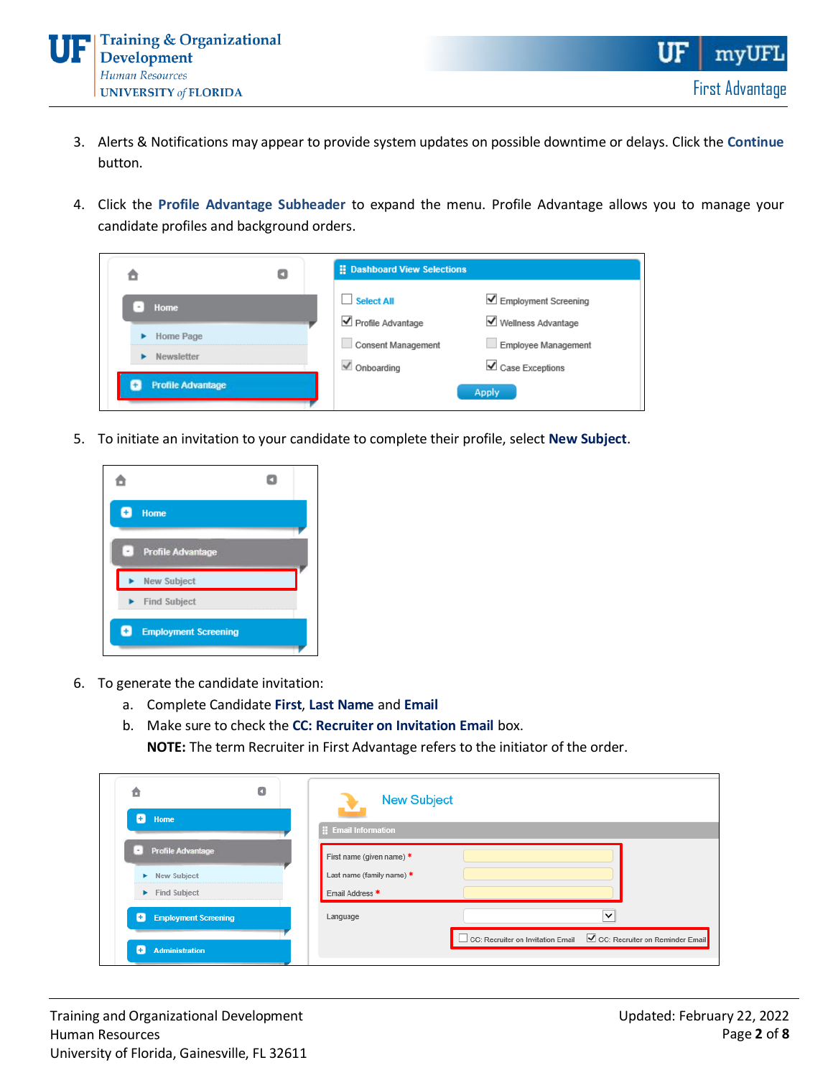

- 3. Alerts & Notifications may appear to provide system updates on possible downtime or delays. Click the **Continue**  button.
- 4. Click the **Profile Advantage Subheader** to expand the menu. Profile Advantage allows you to manage your candidate profiles and background orders.

|                          | : Dashboard View Selections                   |                                                    |  |
|--------------------------|-----------------------------------------------|----------------------------------------------------|--|
| Home                     | <b>Select All</b>                             | $\angle$ Employment Screening                      |  |
| Home Page                | Profile Advantage                             | ■ Wellness Advantage                               |  |
| Newsletter               | Consent Management<br>$\checkmark$ Onboarding | Employee Management<br>$\triangle$ Case Exceptions |  |
| <b>Profile Advantage</b> |                                               | Apply                                              |  |

5. To initiate an invitation to your candidate to complete their profile, select **New Subject**.



- 6. To generate the candidate invitation:
	- a. Complete Candidate **First**, **Last Name** and **Email**
	- b. Make sure to check the **CC: Recruiter on Invitation Email** box.

**NOTE:** The term Recruiter in First Advantage refers to the initiator of the order.

| Ô<br>Ð<br>Home                   | O | <b>New Subject</b><br>×   |                                                                     |  |
|----------------------------------|---|---------------------------|---------------------------------------------------------------------|--|
|                                  |   | <b>Email Information</b>  |                                                                     |  |
| <b>Profile Advantage</b>         |   | First name (given name) * |                                                                     |  |
| New Subject<br>٠                 |   | Last name (family name) * |                                                                     |  |
| <b>Find Subject</b><br>۰.        |   | Email Address *           |                                                                     |  |
| Ð<br><b>Employment Screening</b> |   | Language                  | $\check{ }$                                                         |  |
| <b>Administration</b>            |   |                           | CC: Recruiter on Invitation Email ■ CC: Recruiter on Reminder Email |  |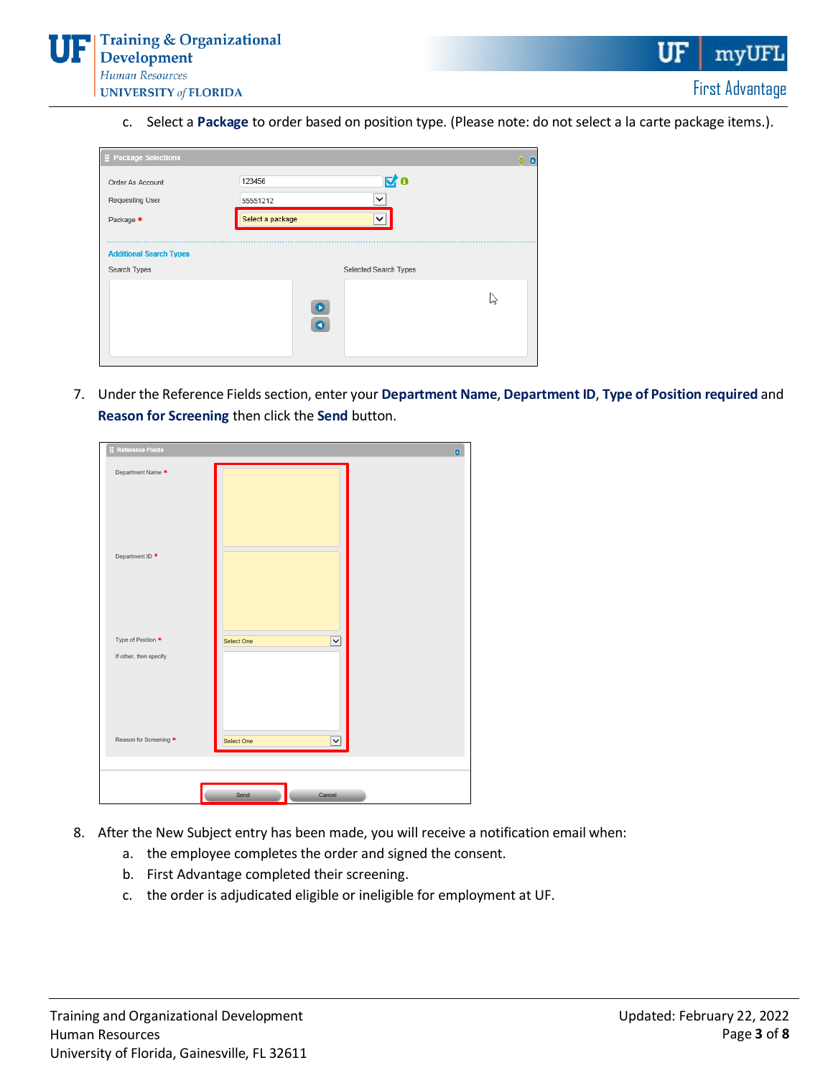

c. Select a **Package** to order based on position type. (Please note: do not select a la carte package items.).

| Package Selections             | $\theta$                 | o |
|--------------------------------|--------------------------|---|
| Order As Account               | 図。<br>123456             |   |
| <b>Requesting User</b>         | $\checkmark$<br>55551212 |   |
| Package *                      | Select a package<br>◡    |   |
|                                |                          |   |
| <b>Additional Search Types</b> |                          |   |
| Search Types                   | Selected Search Types    |   |
|                                | h<br>O                   |   |
|                                | n                        |   |
|                                |                          |   |
|                                |                          |   |

7. Under the Reference Fields section, enter your **Department Name**, **Department ID**, **Type of Position required** and **Reason for Screening** then click the **Send** button.

| : Reference Fleids            | o                          |
|-------------------------------|----------------------------|
| Department Name <sup>▲</sup>  |                            |
| Department ID <sup>+</sup>    |                            |
| Type of Position <sup>★</sup> | Select One<br>$\check{~}$  |
| If other, then specify        |                            |
|                               |                            |
| Reason for Screening *        | Select One<br>$\checkmark$ |
|                               |                            |
|                               | Send<br>Cancel             |
|                               |                            |

- 8. After the New Subject entry has been made, you will receive a notification email when:
	- a. the employee completes the order and signed the consent.
	- b. First Advantage completed their screening.
	- c. the order is adjudicated eligible or ineligible for employment at UF.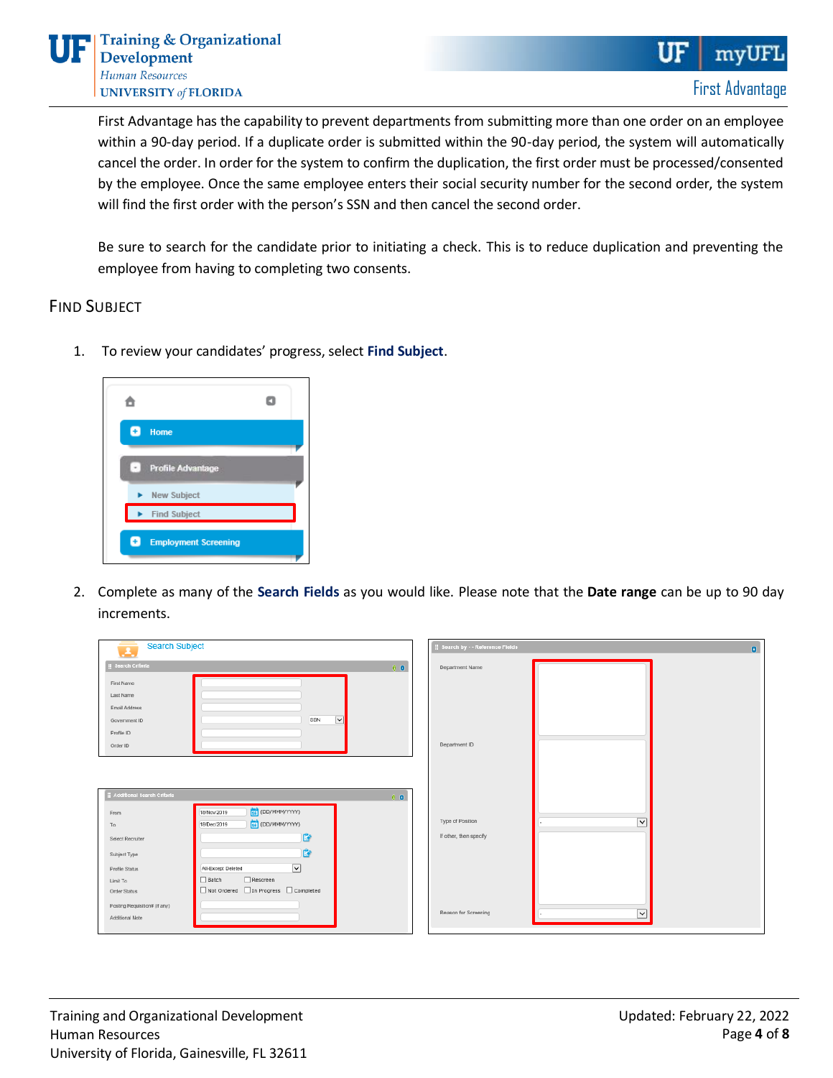First Advantage has the capability to prevent departments from submitting more than one order on an employee within a 90-day period. If a duplicate order is submitted within the 90-day period, the system will automatically cancel the order. In order for the system to confirm the duplication, the first order must be processed/consented by the employee. Once the same employee enters their social security number for the second order, the system will find the first order with the person's SSN and then cancel the second order.

Be sure to search for the candidate prior to initiating a check. This is to reduce duplication and preventing the employee from having to completing two consents.

### FIND SUBJECT

1. To review your candidates' progress, select **Find Subject**.



2. Complete as many of the **Search Fields** as you would like. Please note that the **Date range** can be up to 90 day increments.

| <b>Search Subject</b><br>÷.                                                                                    | <b>H</b> Search by - - Reference Fleids<br>$\bullet$ |
|----------------------------------------------------------------------------------------------------------------|------------------------------------------------------|
| <b>E</b> Search Criteria<br>$0$ $0$                                                                            | Department Name                                      |
| First Name<br>Last Name<br>Email Address<br>$\checkmark$<br>SSN<br>Government ID<br>Profile ID<br>Order ID     | Department ID                                        |
| : Additional Search Criteria<br>$0$ $0$                                                                        |                                                      |
| [16] (DD/MMM/YYYY)<br>18/Nov/2019<br>From<br>16 (DD/MMM/YYYY)<br>18/Dec/2019                                   | Type of Position<br>$\overline{\mathbf{v}}$          |
| To<br>Û<br>Select Recruiter<br>ÉÑ<br>Subject Type                                                              | If other, then specify                               |
| $\overline{\mathsf{v}}$<br>All-Except Deleted<br>Profile Status<br>$\Box$ Rescreen<br>$\Box$ Batch<br>Limit To |                                                      |
| Not Ordered In Progress Completed<br>Order Status<br>Posting Requisition# (if any)<br>Additional Note          | Reason for Screening<br>$\checkmark$                 |
|                                                                                                                |                                                      |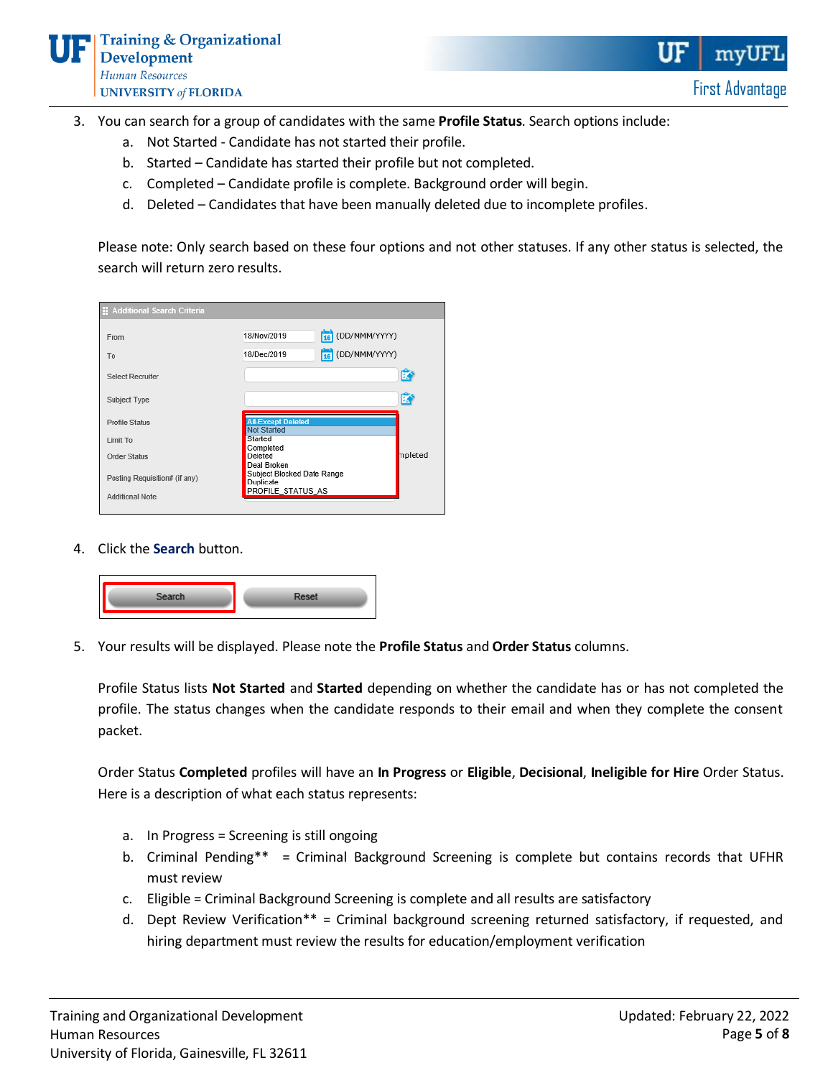- 3. You can search for a group of candidates with the same **Profile Status**. Search options include:
	- a. Not Started Candidate has not started their profile.
	- b. Started Candidate has started their profile but not completed.
	- c. Completed Candidate profile is complete. Background order will begin.
	- d. Deleted Candidates that have been manually deleted due to incomplete profiles.

Please note: Only search based on these four options and not other statuses. If any other status is selected, the search will return zero results.

| : Additional Search Criteria  |                                                        |
|-------------------------------|--------------------------------------------------------|
| From                          | 16 (DD/MMM/YYYY)<br>18/Nov/2019                        |
| To                            | 16 (DD/MMM/YYYY)<br>18/Dec/2019                        |
| <b>Select Recruiter</b>       | Ď                                                      |
| Subject Type                  | Ď                                                      |
| <b>Profile Status</b>         | <b>All-Except Deleted</b><br><b>Not Started</b>        |
| Limit To                      | Started                                                |
| <b>Order Status</b>           | Completed<br>mpleted<br>Deleted                        |
| Posting Requisition# (if any) | Deal Broken<br>Subject Blocked Date Range<br>Duplicate |
| <b>Additional Note</b>        | PROFILE_STATUS_AS                                      |

4. Click the **Search** button.



5. Your results will be displayed. Please note the **Profile Status** and **Order Status** columns.

Profile Status lists **Not Started** and **Started** depending on whether the candidate has or has not completed the profile. The status changes when the candidate responds to their email and when they complete the consent packet.

Order Status **Completed** profiles will have an **In Progress** or **Eligible**, **Decisional**, **Ineligible for Hire** Order Status. Here is a description of what each status represents:

- a. In Progress = Screening is still ongoing
- b. Criminal Pending\*\* = Criminal Background Screening is complete but contains records that UFHR must review
- c. Eligible = Criminal Background Screening is complete and all results are satisfactory
- d. Dept Review Verification\*\* = Criminal background screening returned satisfactory, if requested, and hiring department must review the results for education/employment verification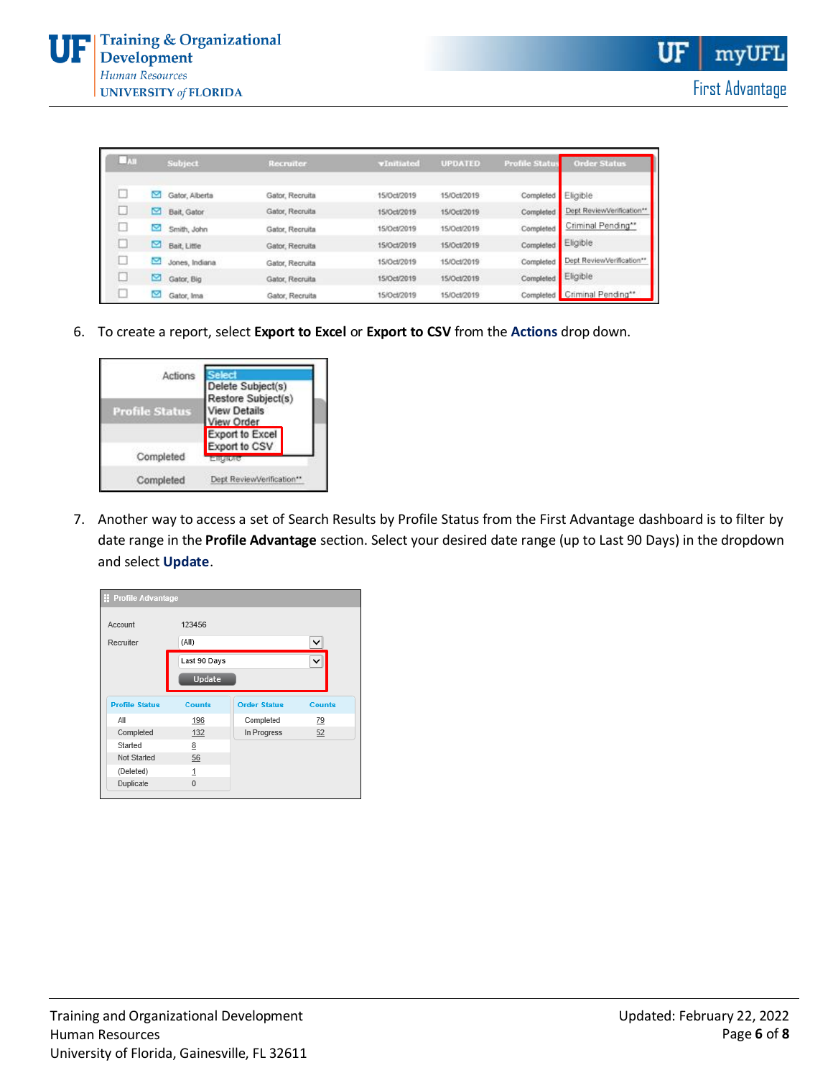| - 55 |   | <b>Subject</b> | Recruiter       | vInitiated  | <b>UPDATED</b> | <b>Profile Status</b> | <b>Order Status</b>       |
|------|---|----------------|-----------------|-------------|----------------|-----------------------|---------------------------|
|      |   | Gator, Alberta | Gator, Recruita | 15/Oct/2019 | 15/Oct/2019    | Completed Eligible    |                           |
|      | Ø | Bait, Gator    | Gator, Recruita | 15/Oct/2019 | 15/Oct/2019    | Completed             | Dept ReviewVerification** |
|      |   | Smith, John    | Gator, Recruita | 15/Oct/2019 | 15/Oct/2019    | Completed             | Criminal Pending**        |
|      |   | Bait, Little   | Gator, Recruita | 15/Oct/2019 | 15/Oct/2019    | Completed             | Eligible                  |
|      | ◛ | Jones, Indiana | Gator, Recruita | 15/Oct/2019 | 15/Oct/2019    | Completed             | Dept ReviewVerification** |
|      | ఆ | Gator, Big     | Gator, Recruita | 15/Oct/2019 | 15/Oct/2019    | Completed             | Eligible                  |
| u    | Ø | Gator, Ima     | Gator, Recruita | 15/Oct/2019 | 15/Oct/2019    | Completed             | Criminal Pending**        |

6. To create a report, select **Export to Excel** or **Export to CSV** from the **Actions** drop down.



7. Another way to access a set of Search Results by Profile Status from the First Advantage dashboard is to filter by date range in the **Profile Advantage** section. Select your desired date range (up to Last 90 Days) in the dropdown and select **Update**.

| <b>El Profile Advantage</b> |               |                     |               |  |  |  |
|-----------------------------|---------------|---------------------|---------------|--|--|--|
| Account                     | 123456        |                     |               |  |  |  |
| Recruiter                   | (All)         |                     |               |  |  |  |
|                             | Last 90 Days  |                     | ◡             |  |  |  |
|                             | Update        |                     |               |  |  |  |
| <b>Profile Status</b>       | <b>Counts</b> | <b>Order Status</b> | <b>Counts</b> |  |  |  |
| All                         | 196           | Completed           | 79            |  |  |  |
| Completed                   | 132           | In Progress         | 52            |  |  |  |
| Started                     | 8             |                     |               |  |  |  |
| Not Started                 | 56            |                     |               |  |  |  |
| (Deleted)                   | 1             |                     |               |  |  |  |
| Duplicate                   | $\bf{0}$      |                     |               |  |  |  |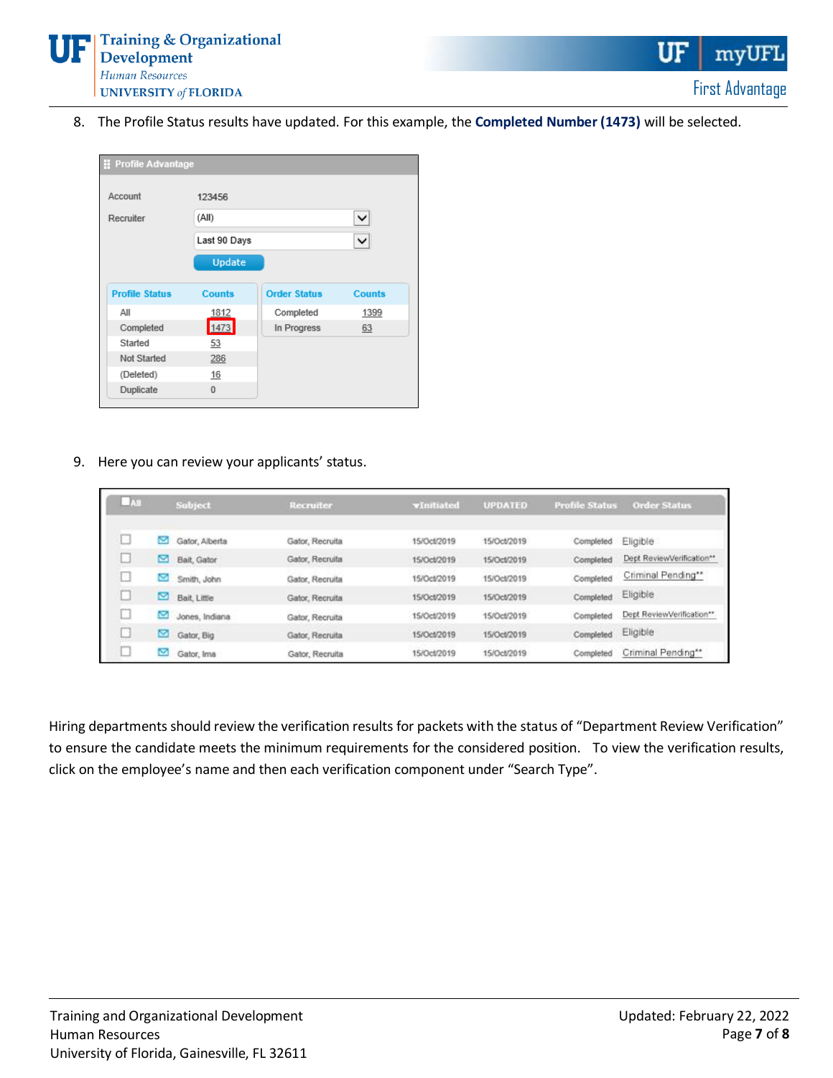

8. The Profile Status results have updated. For this example, the **Completed Number (1473)** will be selected.

| Profile Advantage     |               |                     |               |  |  |  |  |
|-----------------------|---------------|---------------------|---------------|--|--|--|--|
| Account               | 123456        |                     |               |  |  |  |  |
| Recruiter             | (All)         | v                   |               |  |  |  |  |
|                       | Last 90 Days  |                     |               |  |  |  |  |
|                       | Update        |                     |               |  |  |  |  |
| <b>Profile Status</b> | <b>Counts</b> | <b>Order Status</b> | <b>Counts</b> |  |  |  |  |
| All                   | 1812          | Completed           | 1399          |  |  |  |  |
| Completed             | 1473          | In Progress         | 63            |  |  |  |  |
| Started               | 53            |                     |               |  |  |  |  |
| Not Started           | 286           |                     |               |  |  |  |  |
| (Deleted)             | 16            |                     |               |  |  |  |  |
| Duplicate             | $\Omega$      |                     |               |  |  |  |  |

9. Here you can review your applicants' status.

| $-141$ |   | <b>Subject</b> | <b>Recruiter</b> | vInitiated  | <b>UPDATED</b> | <b>Profile Status</b> | <b>Order Status</b>       |
|--------|---|----------------|------------------|-------------|----------------|-----------------------|---------------------------|
|        | × | Gator, Alberta | Gator, Recruita  | 15/Oct/2019 | 15/Oct/2019    | Completed             | Eligible                  |
|        | ◚ | Bait, Gator    | Gator, Recruita  | 15/Oct/2019 | 15/Oct/2019    | Completed             | Dept ReviewVerification** |
|        | × | Smith, John    | Gator, Recruita  | 15/Oct/2019 | 15/Oct/2019    | Completed             | Criminal Pending**        |
|        |   | Bait, Little   | Gator, Recruita  | 15/Oct/2019 | 15/Oct/2019    | Completed             | Eligible                  |
|        | ◛ | Jones, Indiana | Gator, Recruita  | 15/Oct/2019 | 15/Oct/2019    | Completed             | Dept ReviewVerification** |
|        | ఆ | Gator, Big     | Gator, Recruita  | 15/0ct/2019 | 15/Oct/2019    | Completed             | Eligible                  |
| $\sim$ | ∾ | Gator, Ima     | Gator, Recruita  | 15/Oct/2019 | 15/Oct/2019    | Completed             | Criminal Pending**        |

Hiring departments should review the verification results for packets with the status of "Department Review Verification" to ensure the candidate meets the minimum requirements for the considered position. To view the verification results, click on the employee's name and then each verification component under "Search Type".